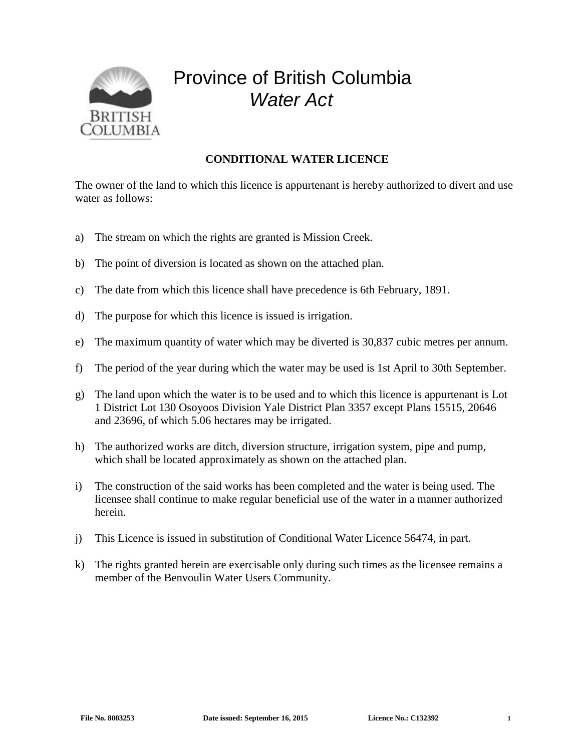

## Province of British Columbia *Water Act*

## **CONDITIONAL WATER LICENCE**

The owner of the land to which this licence is appurtenant is hereby authorized to divert and use water as follows:

- a) The stream on which the rights are granted is Mission Creek.
- b) The point of diversion is located as shown on the attached plan.
- c) The date from which this licence shall have precedence is 6th February, 1891.
- d) The purpose for which this licence is issued is irrigation.
- e) The maximum quantity of water which may be diverted is 30,837 cubic metres per annum.
- f) The period of the year during which the water may be used is 1st April to 30th September.
- g) The land upon which the water is to be used and to which this licence is appurtenant is Lot 1 District Lot 130 Osoyoos Division Yale District Plan 3357 except Plans 15515, 20646 and 23696, of which 5.06 hectares may be irrigated.
- h) The authorized works are ditch, diversion structure, irrigation system, pipe and pump, which shall be located approximately as shown on the attached plan.
- i) The construction of the said works has been completed and the water is being used. The licensee shall continue to make regular beneficial use of the water in a manner authorized herein.
- j) This Licence is issued in substitution of Conditional Water Licence 56474, in part.
- k) The rights granted herein are exercisable only during such times as the licensee remains a member of the Benvoulin Water Users Community.